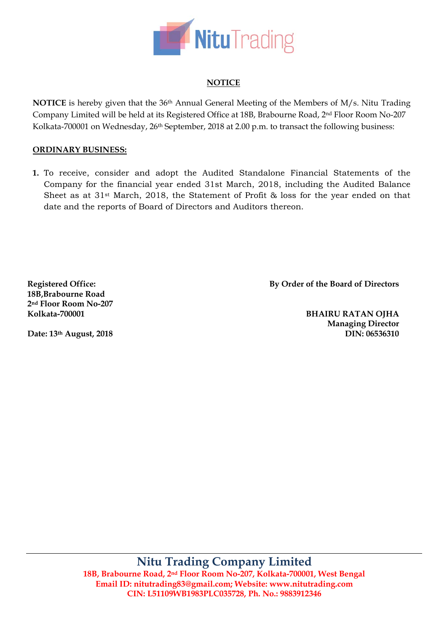

# **NOTICE**

**NOTICE** is hereby given that the 36th Annual General Meeting of the Members of M/s. Nitu Trading Company Limited will be held at its Registered Office at 18B, Brabourne Road, 2nd Floor Room No-207 Kolkata-700001 on Wednesday, 26<sup>th</sup> September, 2018 at 2.00 p.m. to transact the following business:

## **ORDINARY BUSINESS:**

**1.** To receive, consider and adopt the Audited Standalone Financial Statements of the Company for the financial year ended 31st March, 2018, including the Audited Balance Sheet as at 31st March, 2018, the Statement of Profit & loss for the year ended on that date and the reports of Board of Directors and Auditors thereon.

**Registered Office: 18B,Brabourne Road 2nd Floor Room No-207 Kolkata-700001** 

**By Order of the Board of Directors**

**Date: 13th August, 2018** 

**BHAIRU RATAN OJHA Managing Director DIN: 06536310** 

**Nitu Trading Company Limited 18B, Brabourne Road, 2nd Floor Room No-207, Kolkata-700001, West Bengal Email ID: nitutrading83@gmail.com; Website: www.nitutrading.com CIN: L51109WB1983PLC035728, Ph. No.: 9883912346**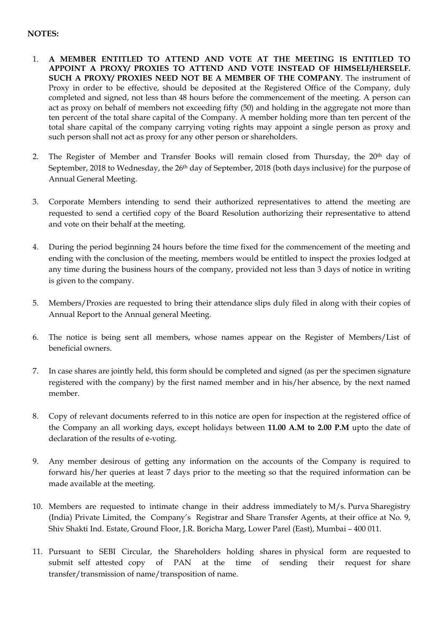## **NOTES:**

- 1. **A MEMBER ENTITLED TO ATTEND AND VOTE AT THE MEETING IS ENTITLED TO APPOINT A PROXY/ PROXIES TO ATTEND AND VOTE INSTEAD OF HIMSELF/HERSELF. SUCH A PROXY/ PROXIES NEED NOT BE A MEMBER OF THE COMPANY**. The instrument of Proxy in order to be effective, should be deposited at the Registered Office of the Company, duly completed and signed, not less than 48 hours before the commencement of the meeting. A person can act as proxy on behalf of members not exceeding fifty (50) and holding in the aggregate not more than ten percent of the total share capital of the Company. A member holding more than ten percent of the total share capital of the company carrying voting rights may appoint a single person as proxy and such person shall not act as proxy for any other person or shareholders.
- 2. The Register of Member and Transfer Books will remain closed from Thursday, the 20<sup>th</sup> day of September, 2018 to Wednesday, the 26th day of September, 2018 (both days inclusive) for the purpose of Annual General Meeting.
- 3. Corporate Members intending to send their authorized representatives to attend the meeting are requested to send a certified copy of the Board Resolution authorizing their representative to attend and vote on their behalf at the meeting.
- 4. During the period beginning 24 hours before the time fixed for the commencement of the meeting and ending with the conclusion of the meeting, members would be entitled to inspect the proxies lodged at any time during the business hours of the company, provided not less than 3 days of notice in writing is given to the company.
- 5. Members/Proxies are requested to bring their attendance slips duly filed in along with their copies of Annual Report to the Annual general Meeting.
- 6. The notice is being sent all members, whose names appear on the Register of Members/List of beneficial owners.
- 7. In case shares are jointly held, this form should be completed and signed (as per the specimen signature registered with the company) by the first named member and in his/her absence, by the next named member.
- 8. Copy of relevant documents referred to in this notice are open for inspection at the registered office of the Company an all working days, except holidays between **11.00 A.M to 2.00 P.M** upto the date of declaration of the results of e-voting.
- 9. Any member desirous of getting any information on the accounts of the Company is required to forward his/her queries at least 7 days prior to the meeting so that the required information can be made available at the meeting.
- 10. Members are requested to intimate change in their address immediately to M/s. Purva Sharegistry (India) Private Limited, the Company's Registrar and Share Transfer Agents, at their office at No. 9, Shiv Shakti Ind. Estate, Ground Floor, J.R. Boricha Marg, Lower Parel (East), Mumbai – 400 011.
- 11. Pursuant to SEBI Circular, the Shareholders holding shares in physical form are requested to submit self attested copy of PAN at the time of sending their request for share transfer/transmission of name/transposition of name.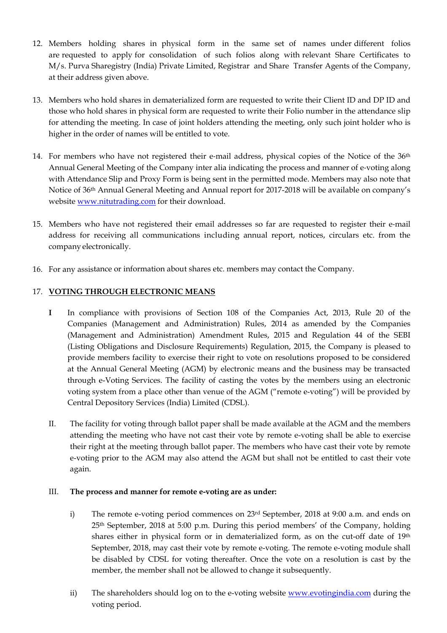- 12. Members holding shares in physical form in the same set of names under different folios are requested to apply for consolidation of such folios along with relevant Share Certificates to M/s. Purva Sharegistry (India) Private Limited, Registrar and Share Transfer Agents of the Company, at their address given above.
- 13. Members who hold shares in dematerialized form are requested to write their Client ID and DP ID and those who hold shares in physical form are requested to write their Folio number in the attendance slip for attending the meeting. In case of joint holders attending the meeting, only such joint holder who is higher in the order of names will be entitled to vote.
- 14. For members who have not registered their e-mail address, physical copies of the Notice of the 36<sup>th</sup> Annual General Meeting of the Company inter alia indicating the process and manner of e‐voting along with Attendance Slip and Proxy Form is being sent in the permitted mode. Members may also note that Notice of 36th Annual General Meeting and Annual report for 2017-2018 will be available on company's website www.nitutrading.com for their download.
- 15. Members who have not registered their email addresses so far are requested to register their e‐mail address for receiving all communications including annual report, notices, circulars etc. from the company electronically.
- 16. For any assistance or information about shares etc. members may contact the Company.

## 17. **VOTING THROUGH ELECTRONIC MEANS**

- **I** In compliance with provisions of Section 108 of the Companies Act, 2013, Rule 20 of the Companies (Management and Administration) Rules, 2014 as amended by the Companies (Management and Administration) Amendment Rules, 2015 and Regulation 44 of the SEBI (Listing Obligations and Disclosure Requirements) Regulation, 2015, the Company is pleased to provide members facility to exercise their right to vote on resolutions proposed to be considered at the Annual General Meeting (AGM) by electronic means and the business may be transacted through e-Voting Services. The facility of casting the votes by the members using an electronic voting system from a place other than venue of the AGM ("remote e-voting") will be provided by Central Depository Services (India) Limited (CDSL).
- II. The facility for voting through ballot paper shall be made available at the AGM and the members attending the meeting who have not cast their vote by remote e-voting shall be able to exercise their right at the meeting through ballot paper. The members who have cast their vote by remote e-voting prior to the AGM may also attend the AGM but shall not be entitled to cast their vote again.

### III. **The process and manner for remote e-voting are as under:**

- i) The remote e-voting period commences on 23rd September, 2018 at 9:00 a.m. and ends on 25th September, 2018 at 5:00 p.m. During this period members' of the Company, holding shares either in physical form or in dematerialized form, as on the cut-off date of 19<sup>th</sup> September, 2018, may cast their vote by remote e-voting. The remote e-voting module shall be disabled by CDSL for voting thereafter. Once the vote on a resolution is cast by the member, the member shall not be allowed to change it subsequently.
- ii) The shareholders should log on to the e-voting website www.evotingindia.com during the voting period.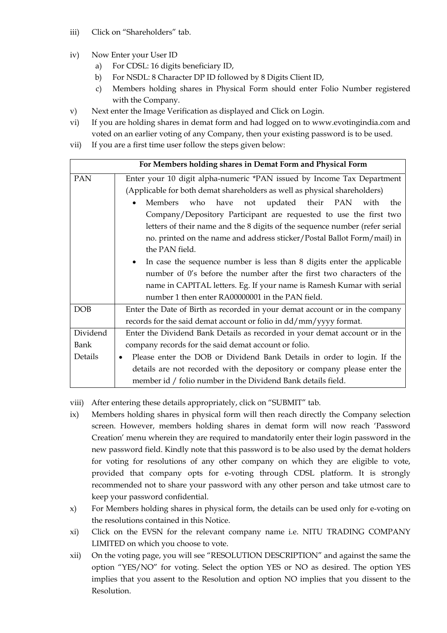- iii) Click on "Shareholders" tab.
- iv) Now Enter your User ID
	- a) For CDSL: 16 digits beneficiary ID,
	- b) For NSDL: 8 Character DP ID followed by 8 Digits Client ID,
	- c) Members holding shares in Physical Form should enter Folio Number registered with the Company.
- v) Next enter the Image Verification as displayed and Click on Login.
- vi) If you are holding shares in demat form and had logged on to www.evotingindia.com and voted on an earlier voting of any Company, then your existing password is to be used.
- vii) If you are a first time user follow the steps given below:

| For Members holding shares in Demat Form and Physical Form |                                                                                      |  |  |  |  |
|------------------------------------------------------------|--------------------------------------------------------------------------------------|--|--|--|--|
| <b>PAN</b>                                                 | Enter your 10 digit alpha-numeric *PAN issued by Income Tax Department               |  |  |  |  |
|                                                            | (Applicable for both demat shareholders as well as physical shareholders)            |  |  |  |  |
|                                                            | Members who have not updated their PAN with<br>the                                   |  |  |  |  |
|                                                            | Company/Depository Participant are requested to use the first two                    |  |  |  |  |
|                                                            | letters of their name and the 8 digits of the sequence number (refer serial          |  |  |  |  |
|                                                            | no. printed on the name and address sticker/Postal Ballot Form/mail) in              |  |  |  |  |
|                                                            | the PAN field.                                                                       |  |  |  |  |
|                                                            | In case the sequence number is less than 8 digits enter the applicable<br>$\bullet$  |  |  |  |  |
|                                                            | number of 0's before the number after the first two characters of the                |  |  |  |  |
|                                                            | name in CAPITAL letters. Eg. If your name is Ramesh Kumar with serial                |  |  |  |  |
|                                                            | number 1 then enter RA00000001 in the PAN field.                                     |  |  |  |  |
| <b>DOB</b>                                                 | Enter the Date of Birth as recorded in your demat account or in the company          |  |  |  |  |
|                                                            | records for the said demat account or folio in dd/mm/yyyy format.                    |  |  |  |  |
| Dividend                                                   | Enter the Dividend Bank Details as recorded in your demat account or in the          |  |  |  |  |
| Bank                                                       | company records for the said demat account or folio.                                 |  |  |  |  |
| Details                                                    | Please enter the DOB or Dividend Bank Details in order to login. If the<br>$\bullet$ |  |  |  |  |
|                                                            | details are not recorded with the depository or company please enter the             |  |  |  |  |
|                                                            | member id / folio number in the Dividend Bank details field.                         |  |  |  |  |

viii) After entering these details appropriately, click on "SUBMIT" tab.

- ix) Members holding shares in physical form will then reach directly the Company selection screen. However, members holding shares in demat form will now reach 'Password Creation' menu wherein they are required to mandatorily enter their login password in the new password field. Kindly note that this password is to be also used by the demat holders for voting for resolutions of any other company on which they are eligible to vote, provided that company opts for e-voting through CDSL platform. It is strongly recommended not to share your password with any other person and take utmost care to keep your password confidential.
- x) For Members holding shares in physical form, the details can be used only for e-voting on the resolutions contained in this Notice.
- xi) Click on the EVSN for the relevant company name i.e. NITU TRADING COMPANY LIMITED on which you choose to vote.
- xii) On the voting page, you will see "RESOLUTION DESCRIPTION" and against the same the option "YES/NO" for voting. Select the option YES or NO as desired. The option YES implies that you assent to the Resolution and option NO implies that you dissent to the Resolution.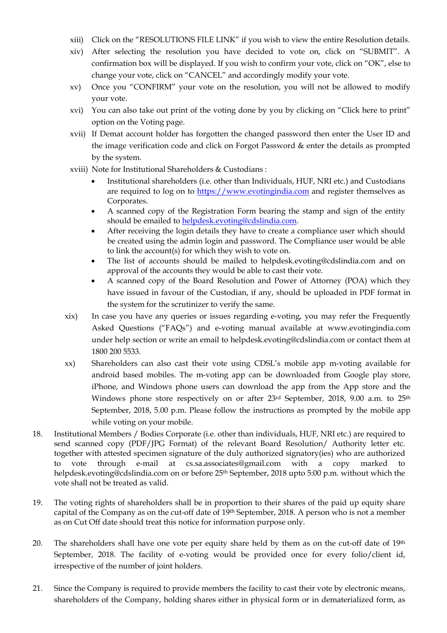- xiii) Click on the "RESOLUTIONS FILE LINK" if you wish to view the entire Resolution details.
- xiv) After selecting the resolution you have decided to vote on, click on "SUBMIT". A confirmation box will be displayed. If you wish to confirm your vote, click on "OK", else to change your vote, click on "CANCEL" and accordingly modify your vote.
- xv) Once you "CONFIRM" your vote on the resolution, you will not be allowed to modify your vote.
- xvi) You can also take out print of the voting done by you by clicking on "Click here to print" option on the Voting page.
- xvii) If Demat account holder has forgotten the changed password then enter the User ID and the image verification code and click on Forgot Password & enter the details as prompted by the system.
- xviii) Note for Institutional Shareholders & Custodians :
	- Institutional shareholders (i.e. other than Individuals, HUF, NRI etc.) and Custodians are required to log on to https://www.evotingindia.com and register themselves as Corporates.
	- A scanned copy of the Registration Form bearing the stamp and sign of the entity should be emailed to helpdesk.evoting@cdslindia.com.
	- After receiving the login details they have to create a compliance user which should be created using the admin login and password. The Compliance user would be able to link the account(s) for which they wish to vote on.
	- The list of accounts should be mailed to helpdesk.evoting@cdslindia.com and on approval of the accounts they would be able to cast their vote.
	- A scanned copy of the Board Resolution and Power of Attorney (POA) which they have issued in favour of the Custodian, if any, should be uploaded in PDF format in the system for the scrutinizer to verify the same.
- xix) In case you have any queries or issues regarding e-voting, you may refer the Frequently Asked Questions ("FAQs") and e-voting manual available at www.evotingindia.com under help section or write an email to helpdesk.evoting@cdslindia.com or contact them at 1800 200 5533.
- xx) Shareholders can also cast their vote using CDSL's mobile app m-voting available for android based mobiles. The m-voting app can be downloaded from Google play store, iPhone, and Windows phone users can download the app from the App store and the Windows phone store respectively on or after 23rd September, 2018, 9.00 a.m. to 25<sup>th</sup> September, 2018, 5.00 p.m. Please follow the instructions as prompted by the mobile app while voting on your mobile.
- 18. Institutional Members / Bodies Corporate (i.e. other than individuals, HUF, NRI etc.) are required to send scanned copy (PDF/JPG Format) of the relevant Board Resolution/ Authority letter etc. together with attested specimen signature of the duly authorized signatory(ies) who are authorized to vote through e-mail at cs.sa.associates@gmail.com with a copy marked to helpdesk.evoting@cdslindia.com on or before 25<sup>th</sup> September, 2018 upto 5:00 p.m. without which the vote shall not be treated as valid.
- 19. The voting rights of shareholders shall be in proportion to their shares of the paid up equity share capital of the Company as on the cut-off date of 19th September, 2018. A person who is not a member as on Cut Off date should treat this notice for information purpose only.
- 20. The shareholders shall have one vote per equity share held by them as on the cut-off date of 19th September, 2018. The facility of e-voting would be provided once for every folio/client id, irrespective of the number of joint holders.
- 21. Since the Company is required to provide members the facility to cast their vote by electronic means, shareholders of the Company, holding shares either in physical form or in dematerialized form, as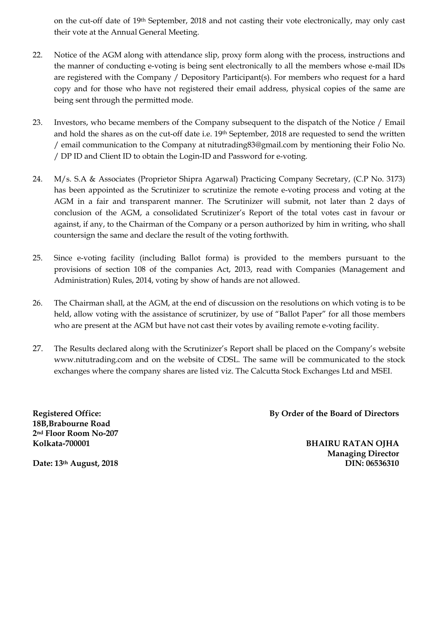on the cut-off date of 19th September, 2018 and not casting their vote electronically, may only cast their vote at the Annual General Meeting.

- 22. Notice of the AGM along with attendance slip, proxy form along with the process, instructions and the manner of conducting e-voting is being sent electronically to all the members whose e-mail IDs are registered with the Company / Depository Participant(s). For members who request for a hard copy and for those who have not registered their email address, physical copies of the same are being sent through the permitted mode.
- 23. Investors, who became members of the Company subsequent to the dispatch of the Notice / Email and hold the shares as on the cut-off date i.e. 19th September, 2018 are requested to send the written / email communication to the Company at nitutrading83@gmail.com by mentioning their Folio No. / DP ID and Client ID to obtain the Login-ID and Password for e-voting.
- 24. M/s. S.A & Associates (Proprietor Shipra Agarwal) Practicing Company Secretary, (C.P No. 3173) has been appointed as the Scrutinizer to scrutinize the remote e-voting process and voting at the AGM in a fair and transparent manner. The Scrutinizer will submit, not later than 2 days of conclusion of the AGM, a consolidated Scrutinizer's Report of the total votes cast in favour or against, if any, to the Chairman of the Company or a person authorized by him in writing, who shall countersign the same and declare the result of the voting forthwith.
- 25. Since e-voting facility (including Ballot forma) is provided to the members pursuant to the provisions of section 108 of the companies Act, 2013, read with Companies (Management and Administration) Rules, 2014, voting by show of hands are not allowed.
- 26. The Chairman shall, at the AGM, at the end of discussion on the resolutions on which voting is to be held, allow voting with the assistance of scrutinizer, by use of "Ballot Paper" for all those members who are present at the AGM but have not cast their votes by availing remote e-voting facility.
- 27. The Results declared along with the Scrutinizer's Report shall be placed on the Company's website www.nitutrading.com and on the website of CDSL. The same will be communicated to the stock exchanges where the company shares are listed viz. The Calcutta Stock Exchanges Ltd and MSEI.

**Registered Office: 18B,Brabourne Road 2nd Floor Room No-207 Kolkata-700001** 

**By Order of the Board of Directors**

**BHAIRU RATAN OJHA Managing Director DIN: 06536310** 

**Date: 13th August, 2018**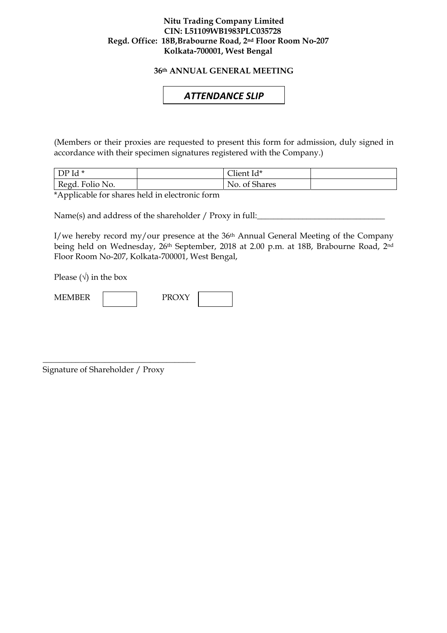### **Nitu Trading Company Limited CIN: L51109WB1983PLC035728 Regd. Office: 18B,Brabourne Road, 2nd Floor Room No-207 Kolkata-700001, West Bengal**

**36th ANNUAL GENERAL MEETING** 

# *ATTENDANCE SLIP*

(Members or their proxies are requested to present this form for admission, duly signed in accordance with their specimen signatures registered with the Company.)

| DP Id *         | $\sim$ $\cdot$<br>∟lient Id* |  |
|-----------------|------------------------------|--|
| Regd. Folio No. | No. of Shares                |  |

\*Applicable for shares held in electronic form

Name(s) and address of the shareholder / Proxy in full:

I/we hereby record my/our presence at the 36th Annual General Meeting of the Company being held on Wednesday, 26<sup>th</sup> September, 2018 at 2.00 p.m. at 18B, Brabourne Road, 2<sup>nd</sup> Floor Room No-207, Kolkata-700001, West Bengal,

Please  $(\sqrt{})$  in the box



Signature of Shareholder / Proxy

\_\_\_\_\_\_\_\_\_\_\_\_\_\_\_\_\_\_\_\_\_\_\_\_\_\_\_\_\_\_\_\_\_\_\_\_\_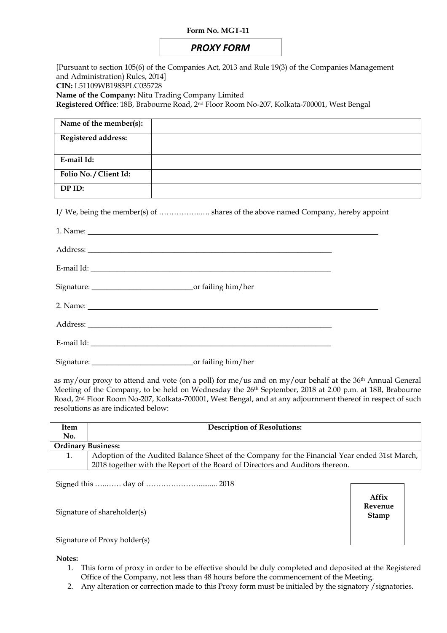#### **Form No. MGT-11**

# *PROXY FORM*

[Pursuant to section 105(6) of the Companies Act, 2013 and Rule 19(3) of the Companies Management and Administration) Rules, 2014] **CIN:** L51109WB1983PLC035728 **Name of the Company:** Nitu Trading Company Limited **Registered Office**: 18B, Brabourne Road, 2nd Floor Room No-207, Kolkata-700001, West Bengal

**Name of the member(s):** 

| ivalue of the member(s).   |  |
|----------------------------|--|
| <b>Registered address:</b> |  |
|                            |  |
| E-mail Id:                 |  |
| Folio No. / Client Id:     |  |
| DP ID:                     |  |
|                            |  |

I/ We, being the member(s) of ……………..…. shares of the above named Company, hereby appoint

as my/our proxy to attend and vote (on a poll) for me/us and on my/our behalf at the 36<sup>th</sup> Annual General Meeting of the Company, to be held on Wednesday the 26<sup>th</sup> September, 2018 at 2.00 p.m. at 18B, Brabourne Road, 2<sup>nd</sup> Floor Room No-207, Kolkata-700001, West Bengal, and at any adjournment thereof in respect of such resolutions as are indicated below:

| Item                      | <b>Description of Resolutions:</b>                                                            |  |  |  |
|---------------------------|-----------------------------------------------------------------------------------------------|--|--|--|
| No.                       |                                                                                               |  |  |  |
| <b>Ordinary Business:</b> |                                                                                               |  |  |  |
|                           | Adoption of the Audited Balance Sheet of the Company for the Financial Year ended 31st March, |  |  |  |
|                           | 2018 together with the Report of the Board of Directors and Auditors thereon.                 |  |  |  |

Signed this …..…… day of ………………….......... 2018

Signature of shareholder(s)

**Affix Revenue Stamp**

Signature of Proxy holder(s)

**Notes:** 

- 1. This form of proxy in order to be effective should be duly completed and deposited at the Registered Office of the Company, not less than 48 hours before the commencement of the Meeting.
- 2. Any alteration or correction made to this Proxy form must be initialed by the signatory /signatories.